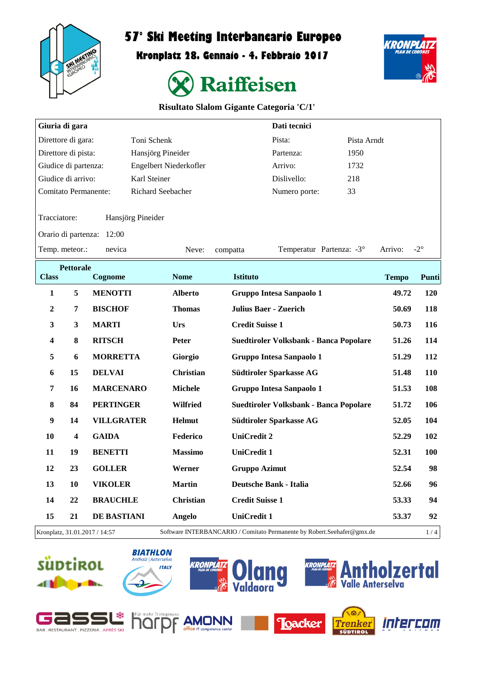

# **57° Ski Meeting Interbancario Europeo**

**Kronplatz 28. Gennaio - 4. Febbraio 2017**



**KRONPLAT** 

| <b>Risultato Slalom Gigante Categoria 'C/1'</b> |  |  |  |
|-------------------------------------------------|--|--|--|
|-------------------------------------------------|--|--|--|

| Giuria di gara              |                  |                               |                   |                        |                        | Dati tecnici                    |                                                                        |              |              |
|-----------------------------|------------------|-------------------------------|-------------------|------------------------|------------------------|---------------------------------|------------------------------------------------------------------------|--------------|--------------|
| Direttore di gara:          |                  |                               | Toni Schenk       |                        |                        | Pista:                          | Pista Arndt                                                            |              |              |
| Direttore di pista:         |                  |                               | Hansjörg Pineider |                        |                        | Partenza:                       | 1950                                                                   |              |              |
| Giudice di partenza:        |                  |                               |                   | Engelbert Niederkofler |                        | Arrivo:                         | 1732                                                                   |              |              |
| Giudice di arrivo:          |                  |                               | Karl Steiner      |                        |                        | Dislivello:                     | 218                                                                    |              |              |
| <b>Comitato Permanente:</b> |                  |                               | Richard Seebacher |                        |                        | Numero porte:                   | 33                                                                     |              |              |
| Tracciatore:                |                  |                               | Hansjörg Pineider |                        |                        |                                 |                                                                        |              |              |
|                             |                  | Orario di partenza: 12:00     |                   |                        |                        |                                 |                                                                        |              |              |
| Temp. meteor.:              |                  | nevica                        |                   | Neve:                  | compatta               |                                 | Temperatur Partenza: -3°                                               | Arrivo:      | $-2^{\circ}$ |
| <b>Class</b>                | <b>Pettorale</b> | Cognome                       |                   | <b>Nome</b>            | <b>Istituto</b>        |                                 |                                                                        | <b>Tempo</b> | Punti        |
| 1                           | 5                | <b>MENOTTI</b>                |                   | <b>Alberto</b>         |                        | Gruppo Intesa Sanpaolo 1        |                                                                        | 49.72        | 120          |
|                             |                  |                               |                   |                        |                        |                                 |                                                                        |              |              |
| $\boldsymbol{2}$            | 7                | <b>BISCHOF</b>                |                   | <b>Thomas</b>          |                        | <b>Julius Baer - Zuerich</b>    |                                                                        | 50.69        | 118          |
| $\mathbf{3}$                | $\mathbf{3}$     | <b>MARTI</b>                  |                   | Urs                    | <b>Credit Suisse 1</b> |                                 |                                                                        | 50.73        | 116          |
| 4                           | 8                | <b>RITSCH</b>                 |                   | Peter                  |                        |                                 | Suedtiroler Volksbank - Banca Popolare                                 | 51.26        | 114          |
| 5                           | 6                | <b>MORRETTA</b>               |                   | Giorgio                |                        | Gruppo Intesa Sanpaolo 1        |                                                                        | 51.29        | 112          |
| 6                           | 15               | <b>DELVAI</b>                 |                   | <b>Christian</b>       |                        | Südtiroler Sparkasse AG         |                                                                        | 51.48        | <b>110</b>   |
| $\overline{7}$              | 16               | <b>MARCENARO</b>              |                   | <b>Michele</b>         |                        | <b>Gruppo Intesa Sanpaolo 1</b> |                                                                        | 51.53        | 108          |
| 8                           | 84               | <b>PERTINGER</b>              |                   | Wilfried               |                        |                                 | Suedtiroler Volksbank - Banca Popolare                                 | 51.72        | 106          |
| 9                           | 14               | <b>VILLGRATER</b>             |                   | <b>Helmut</b>          |                        | Südtiroler Sparkasse AG         |                                                                        | 52.05        | 104          |
| 10                          | 4                | <b>GAIDA</b>                  |                   | Federico               | <b>UniCredit 2</b>     |                                 |                                                                        | 52.29        | 102          |
| 11                          | 19               | <b>BENETTI</b>                |                   | <b>Massimo</b>         | <b>UniCredit 1</b>     |                                 |                                                                        | 52.31        | 100          |
| 12                          | 23               | <b>GOLLER</b>                 |                   | Werner                 | <b>Gruppo Azimut</b>   |                                 |                                                                        | 52.54        | 98           |
| 13                          | 10               | <b>VIKOLER</b>                |                   | <b>Martin</b>          |                        | <b>Deutsche Bank - Italia</b>   |                                                                        | 52.66        | 96           |
| 14                          | 22               | <b>BRAUCHLE</b>               |                   | <b>Christian</b>       | <b>Credit Suisse 1</b> |                                 |                                                                        | 53.33        | 94           |
| 15                          | 21               | <b>DE BASTIANI</b>            |                   | <b>Angelo</b>          | <b>UniCredit 1</b>     |                                 |                                                                        | 53.37        | 92           |
|                             |                  | Kronplatz, 31.01.2017 / 14:57 |                   |                        |                        |                                 | Software INTERBANCARIO / Comitato Permanente by Robert.Seehafer@gmx.de |              | $1/4$        |

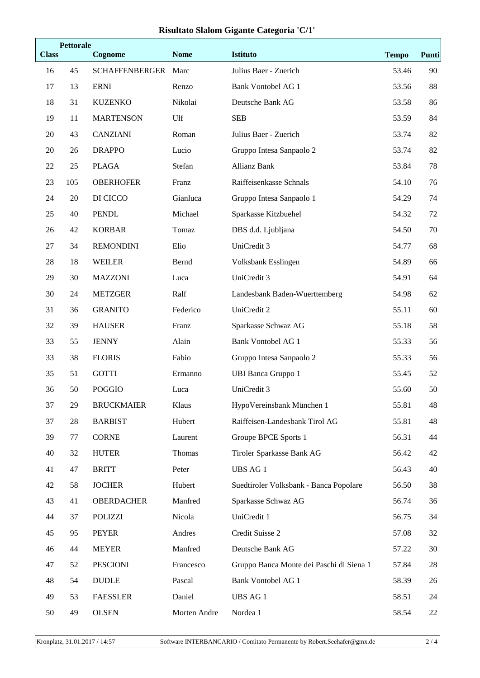## **Risultato Slalom Gigante Categoria 'C/1'**

| <b>Class</b> | <b>Pettorale</b> | Cognome               | <b>Nome</b>  | <b>Istituto</b>                          | <b>Tempo</b> | Punti |
|--------------|------------------|-----------------------|--------------|------------------------------------------|--------------|-------|
| 16           | 45               | <b>SCHAFFENBERGER</b> | Marc         | Julius Baer - Zuerich                    | 53.46        | 90    |
| 17           | 13               | <b>ERNI</b>           | Renzo        | <b>Bank Vontobel AG 1</b>                | 53.56        | 88    |
| 18           | 31               | <b>KUZENKO</b>        | Nikolai      | Deutsche Bank AG                         | 53.58        | 86    |
| 19           | 11               | <b>MARTENSON</b>      | Ulf          | <b>SEB</b>                               | 53.59        | 84    |
| 20           | 43               | <b>CANZIANI</b>       | Roman        | Julius Baer - Zuerich                    | 53.74        | 82    |
| 20           | 26               | <b>DRAPPO</b>         | Lucio        | Gruppo Intesa Sanpaolo 2                 | 53.74        | 82    |
| 22           | 25               | <b>PLAGA</b>          | Stefan       | <b>Allianz Bank</b>                      | 53.84        | 78    |
| 23           | 105              | <b>OBERHOFER</b>      | Franz        | Raiffeisenkasse Schnals                  | 54.10        | 76    |
| 24           | $20\,$           | DI CICCO              | Gianluca     | Gruppo Intesa Sanpaolo 1                 | 54.29        | 74    |
| 25           | 40               | <b>PENDL</b>          | Michael      | Sparkasse Kitzbuehel                     | 54.32        | 72    |
| 26           | 42               | <b>KORBAR</b>         | Tomaz        | DBS d.d. Ljubljana                       | 54.50        | 70    |
| 27           | 34               | <b>REMONDINI</b>      | Elio         | UniCredit 3                              | 54.77        | 68    |
| 28           | 18               | <b>WEILER</b>         | Bernd        | Volksbank Esslingen                      | 54.89        | 66    |
| 29           | 30               | <b>MAZZONI</b>        | Luca         | UniCredit 3                              | 54.91        | 64    |
| 30           | 24               | <b>METZGER</b>        | Ralf         | Landesbank Baden-Wuerttemberg            | 54.98        | 62    |
| 31           | 36               | <b>GRANITO</b>        | Federico     | UniCredit 2                              | 55.11        | 60    |
| 32           | 39               | <b>HAUSER</b>         | Franz        | Sparkasse Schwaz AG                      | 55.18        | 58    |
| 33           | 55               | <b>JENNY</b>          | Alain        | <b>Bank Vontobel AG 1</b>                | 55.33        | 56    |
| 33           | 38               | <b>FLORIS</b>         | Fabio        | Gruppo Intesa Sanpaolo 2                 | 55.33        | 56    |
| 35           | 51               | <b>GOTTI</b>          | Ermanno      | <b>UBI Banca Gruppo 1</b>                | 55.45        | 52    |
| 36           | 50               | <b>POGGIO</b>         | Luca         | UniCredit 3                              | 55.60        | 50    |
| 37           | 29               | <b>BRUCKMAIER</b>     | Klaus        | HypoVereinsbank München 1                | 55.81        | 48    |
| 37           | 28               | <b>BARBIST</b>        | Hubert       | Raiffeisen-Landesbank Tirol AG           | 55.81        | 48    |
| 39           | 77               | <b>CORNE</b>          | Laurent      | Groupe BPCE Sports 1                     | 56.31        | 44    |
| 40           | 32               | <b>HUTER</b>          | Thomas       | Tiroler Sparkasse Bank AG                | 56.42        | 42    |
| 41           | 47               | <b>BRITT</b>          | Peter        | UBS AG 1                                 | 56.43        | 40    |
| 42           | 58               | <b>JOCHER</b>         | Hubert       | Suedtiroler Volksbank - Banca Popolare   | 56.50        | 38    |
| 43           | 41               | <b>OBERDACHER</b>     | Manfred      | Sparkasse Schwaz AG                      | 56.74        | 36    |
| 44           | 37               | <b>POLIZZI</b>        | Nicola       | UniCredit 1                              | 56.75        | 34    |
| 45           | 95               | <b>PEYER</b>          | Andres       | Credit Suisse 2                          | 57.08        | 32    |
| 46           | 44               | <b>MEYER</b>          | Manfred      | Deutsche Bank AG                         | 57.22        | 30    |
| 47           | 52               | <b>PESCIONI</b>       | Francesco    | Gruppo Banca Monte dei Paschi di Siena 1 | 57.84        | 28    |
| 48           | 54               | <b>DUDLE</b>          | Pascal       | <b>Bank Vontobel AG 1</b>                | 58.39        | 26    |
| 49           | 53               | <b>FAESSLER</b>       | Daniel       | <b>UBS AG 1</b>                          | 58.51        | 24    |
| 50           | 49               | <b>OLSEN</b>          | Morten Andre | Nordea 1                                 | 58.54        | 22    |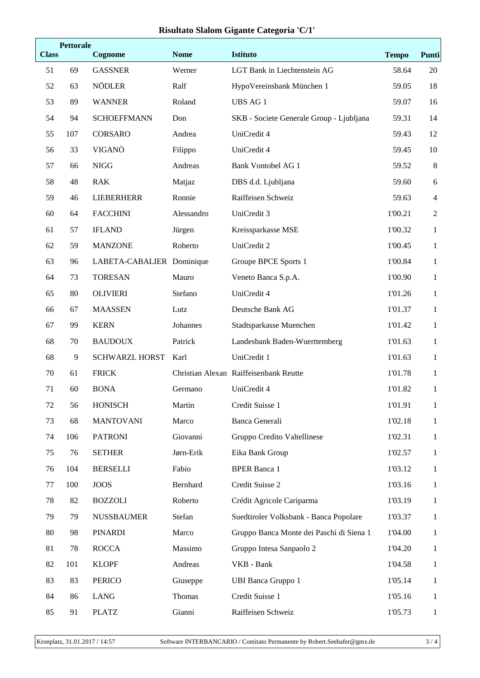## **Risultato Slalom Gigante Categoria 'C/1'**

| <b>Class</b> | <b>Pettorale</b> | Cognome                   | <b>Nome</b> | Istituto                                 | <b>Tempo</b> | Punti            |
|--------------|------------------|---------------------------|-------------|------------------------------------------|--------------|------------------|
| 51           | 69               | <b>GASSNER</b>            | Werner      | LGT Bank in Liechtenstein AG             | 58.64        | 20               |
| 52           | 63               | <b>NÖDLER</b>             | Ralf        | HypoVereinsbank München 1                | 59.05        | 18               |
| 53           | 89               | <b>WANNER</b>             | Roland      | <b>UBS AG1</b>                           | 59.07        | 16               |
| 54           | 94               | <b>SCHOEFFMANN</b>        | Don         | SKB - Societe Generale Group - Ljubljana | 59.31        | 14               |
| 55           | 107              | CORSARO                   | Andrea      | UniCredit 4                              | 59.43        | 12               |
| 56           | 33               | VIGANÒ                    | Filippo     | UniCredit 4                              | 59.45        | 10               |
| 57           | 66               | <b>NIGG</b>               | Andreas     | <b>Bank Vontobel AG 1</b>                | 59.52        | $8\,$            |
| 58           | 48               | <b>RAK</b>                | Matjaz      | DBS d.d. Ljubljana                       | 59.60        | 6                |
| 59           | 46               | <b>LIEBERHERR</b>         | Ronnie      | Raiffeisen Schweiz                       | 59.63        | $\overline{4}$   |
| 60           | 64               | <b>FACCHINI</b>           | Alessandro  | UniCredit 3                              | 1'00.21      | $\boldsymbol{2}$ |
| 61           | 57               | <b>IFLAND</b>             | Jürgen      | Kreissparkasse MSE                       | 1'00.32      | $\mathbf{1}$     |
| 62           | 59               | <b>MANZONE</b>            | Roberto     | UniCredit 2                              | 1'00.45      | $\mathbf{1}$     |
| 63           | 96               | LABETA-CABALIER Dominique |             | Groupe BPCE Sports 1                     | 1'00.84      | $\mathbf{1}$     |
| 64           | 73               | <b>TORESAN</b>            | Mauro       | Veneto Banca S.p.A.                      | 1'00.90      | $\mathbf{1}$     |
| 65           | 80               | <b>OLIVIERI</b>           | Stefano     | UniCredit 4                              | 1'01.26      | $\mathbf{1}$     |
| 66           | 67               | <b>MAASSEN</b>            | Lutz        | Deutsche Bank AG                         | 1'01.37      | $\mathbf{1}$     |
| 67           | 99               | <b>KERN</b>               | Johannes    | Stadtsparkasse Muenchen                  | 1'01.42      | $\mathbf{1}$     |
| 68           | 70               | <b>BAUDOUX</b>            | Patrick     | Landesbank Baden-Wuerttemberg            | 1'01.63      | $\mathbf{1}$     |
| 68           | 9                | <b>SCHWARZL HORST</b>     | Karl        | UniCredit 1                              | 1'01.63      | $\mathbf{1}$     |
| 70           | 61               | <b>FRICK</b>              |             | Christian Alexan Raiffeisenbank Reutte   | 1'01.78      | 1                |
| 71           | 60               | <b>BONA</b>               | Germano     | UniCredit 4                              | 1'01.82      | $\mathbf{1}$     |
| 72           | 56               | <b>HONISCH</b>            | Martin      | Credit Suisse 1                          | 1'01.91      | $\mathbf{1}$     |
| 73           | 68               | <b>MANTOVANI</b>          | Marco       | Banca Generali                           | 1'02.18      | $\mathbf{1}$     |
| 74           | 106              | <b>PATRONI</b>            | Giovanni    | Gruppo Credito Valtellinese              | 1'02.31      | $\mathbf{1}$     |
| 75           | 76               | <b>SETHER</b>             | Jørn-Erik   | Eika Bank Group                          | 1'02.57      | $\mathbf{1}$     |
| 76           | 104              | <b>BERSELLI</b>           | Fabio       | <b>BPER Banca 1</b>                      | 1'03.12      | $\mathbf{1}$     |
| 77           | 100              | <b>JOOS</b>               | Bernhard    | Credit Suisse 2                          | 1'03.16      | 1                |
| 78           | 82               | <b>BOZZOLI</b>            | Roberto     | Crédit Agricole Cariparma                | 1'03.19      | $\mathbf{1}$     |
| 79           | 79               | <b>NUSSBAUMER</b>         | Stefan      | Suedtiroler Volksbank - Banca Popolare   | 1'03.37      | $\mathbf{1}$     |
| 80           | 98               | <b>PINARDI</b>            | Marco       | Gruppo Banca Monte dei Paschi di Siena 1 | 1'04.00      | 1                |
| 81           | 78               | <b>ROCCA</b>              | Massimo     | Gruppo Intesa Sanpaolo 2                 | 1'04.20      | $\mathbf{1}$     |
| 82           | 101              | <b>KLOPF</b>              | Andreas     | VKB - Bank                               | 1'04.58      | $\mathbf{1}$     |
| 83           | 83               | <b>PERICO</b>             | Giuseppe    | <b>UBI Banca Gruppo 1</b>                | 1'05.14      | 1                |
| 84           | 86               | <b>LANG</b>               | Thomas      | Credit Suisse 1                          | 1'05.16      | $\mathbf{1}$     |
| 85           | 91               | <b>PLATZ</b>              | Gianni      | Raiffeisen Schweiz                       | 1'05.73      | $\mathbf{1}$     |